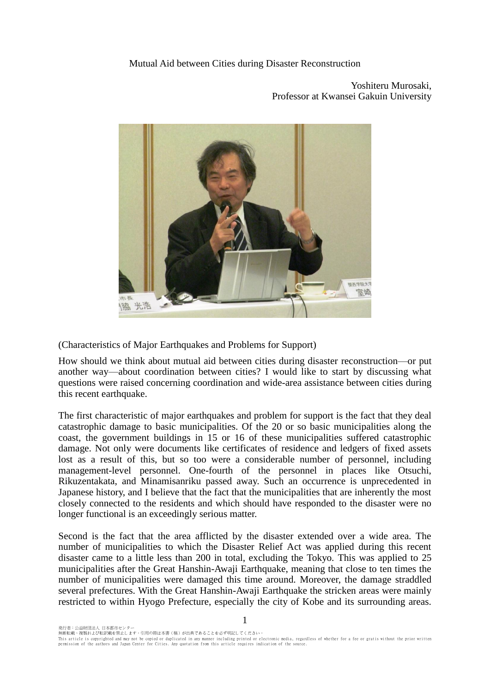## Mutual Aid between Cities during Disaster Reconstruction

**関西学院大学** 室崎 脇 光浩

Yoshiteru Murosaki, Professor at Kwansei Gakuin University

(Characteristics of Major Earthquakes and Problems for Support)

How should we think about mutual aid between cities during disaster reconstruction—or put another way—about coordination between cities? I would like to start by discussing what questions were raised concerning coordination and wide-area assistance between cities during this recent earthquake.

The first characteristic of major earthquakes and problem for support is the fact that they deal catastrophic damage to basic municipalities. Of the 20 or so basic municipalities along the coast, the government buildings in 15 or 16 of these municipalities suffered catastrophic damage. Not only were documents like certificates of residence and ledgers of fixed assets lost as a result of this, but so too were a considerable number of personnel, including management-level personnel. One-fourth of the personnel in places like Otsuchi, Rikuzentakata, and Minamisanriku passed away. Such an occurrence is unprecedented in Japanese history, and I believe that the fact that the municipalities that are inherently the most closely connected to the residents and which should have responded to the disaster were no longer functional is an exceedingly serious matter.

Second is the fact that the area afflicted by the disaster extended over a wide area. The number of municipalities to which the Disaster Relief Act was applied during this recent disaster came to a little less than 200 in total, excluding the Tokyo. This was applied to 25 municipalities after the Great Hanshin-Awaji Earthquake, meaning that close to ten times the number of municipalities were damaged this time around. Moreover, the damage straddled several prefectures. With the Great Hanshin-Awaii Earthquake the stricken areas were mainly restricted to within Hyogo Prefecture, especially the city of Kobe and its surrounding areas.

1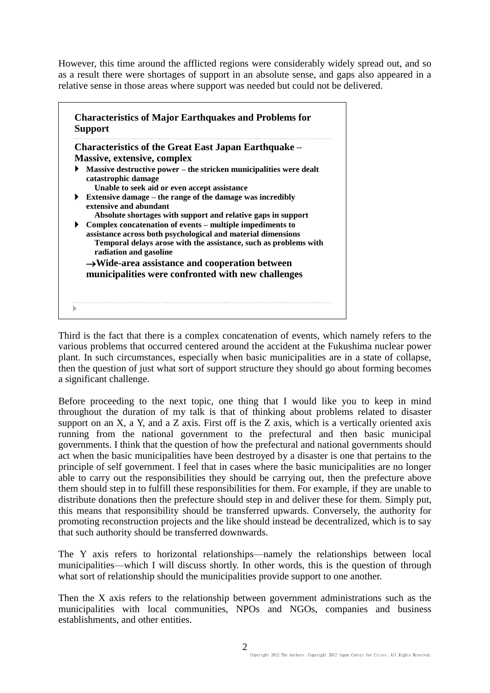However, this time around the afflicted regions were considerably widely spread out, and so as a result there were shortages of support in an absolute sense, and gaps also appeared in a relative sense in those areas where support was needed but could not be delivered.

|   | <b>Characteristics of the Great East Japan Earthquake –</b>                                |
|---|--------------------------------------------------------------------------------------------|
|   | Massive, extensive, complex                                                                |
|   | Massive destructive power – the stricken municipalities were dealt<br>catastrophic damage  |
|   | Unable to seek aid or even accept assistance                                               |
|   | Extensive damage – the range of the damage was incredibly<br>extensive and abundant        |
|   | Absolute shortages with support and relative gaps in support                               |
| ▶ | Complex concatenation of events – multiple impediments to                                  |
|   | assistance across both psychological and material dimensions                               |
|   | Temporal delays arose with the assistance, such as problems with<br>radiation and gasoline |
|   | $\rightarrow$ Wide-area assistance and cooperation between                                 |
|   | municipalities were confronted with new challenges                                         |
|   |                                                                                            |

Third is the fact that there is a complex concatenation of events, which namely refers to the various problems that occurred centered around the accident at the Fukushima nuclear power plant. In such circumstances, especially when basic municipalities are in a state of collapse, then the question of just what sort of support structure they should go about forming becomes a significant challenge.

Before proceeding to the next topic, one thing that I would like you to keep in mind throughout the duration of my talk is that of thinking about problems related to disaster support on an X, a Y, and a Z axis. First off is the Z axis, which is a vertically oriented axis running from the national government to the prefectural and then basic municipal governments. I think that the question of how the prefectural and national governments should act when the basic municipalities have been destroyed by a disaster is one that pertains to the principle of self government. I feel that in cases where the basic municipalities are no longer able to carry out the responsibilities they should be carrying out, then the prefecture above them should step in to fulfill these responsibilities for them. For example, if they are unable to distribute donations then the prefecture should step in and deliver these for them. Simply put, this means that responsibility should be transferred upwards. Conversely, the authority for promoting reconstruction projects and the like should instead be decentralized, which is to say that such authority should be transferred downwards.

The Y axis refers to horizontal relationships—namely the relationships between local municipalities—which I will discuss shortly. In other words, this is the question of through what sort of relationship should the municipalities provide support to one another.

Then the X axis refers to the relationship between government administrations such as the municipalities with local communities, NPOs and NGOs, companies and business establishments, and other entities.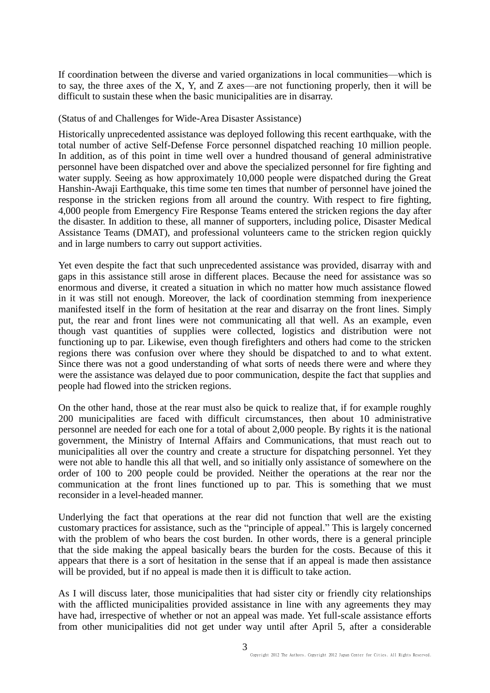If coordination between the diverse and varied organizations in local communities—which is to say, the three axes of the X, Y, and Z axes—are not functioning properly, then it will be difficult to sustain these when the basic municipalities are in disarray.

## (Status of and Challenges for Wide-Area Disaster Assistance)

Historically unprecedented assistance was deployed following this recent earthquake, with the total number of active Self-Defense Force personnel dispatched reaching 10 million people. In addition, as of this point in time well over a hundred thousand of general administrative personnel have been dispatched over and above the specialized personnel for fire fighting and water supply. Seeing as how approximately 10,000 people were dispatched during the Great Hanshin-Awaji Earthquake, this time some ten times that number of personnel have joined the response in the stricken regions from all around the country. With respect to fire fighting, 4,000 people from Emergency Fire Response Teams entered the stricken regions the day after the disaster. In addition to these, all manner of supporters, including police, Disaster Medical Assistance Teams (DMAT), and professional volunteers came to the stricken region quickly and in large numbers to carry out support activities.

Yet even despite the fact that such unprecedented assistance was provided, disarray with and gaps in this assistance still arose in different places. Because the need for assistance was so enormous and diverse, it created a situation in which no matter how much assistance flowed in it was still not enough. Moreover, the lack of coordination stemming from inexperience manifested itself in the form of hesitation at the rear and disarray on the front lines. Simply put, the rear and front lines were not communicating all that well. As an example, even though vast quantities of supplies were collected, logistics and distribution were not functioning up to par. Likewise, even though firefighters and others had come to the stricken regions there was confusion over where they should be dispatched to and to what extent. Since there was not a good understanding of what sorts of needs there were and where they were the assistance was delayed due to poor communication, despite the fact that supplies and people had flowed into the stricken regions.

On the other hand, those at the rear must also be quick to realize that, if for example roughly 200 municipalities are faced with difficult circumstances, then about 10 administrative personnel are needed for each one for a total of about 2,000 people. By rights it is the national government, the Ministry of Internal Affairs and Communications, that must reach out to municipalities all over the country and create a structure for dispatching personnel. Yet they were not able to handle this all that well, and so initially only assistance of somewhere on the order of 100 to 200 people could be provided. Neither the operations at the rear nor the communication at the front lines functioned up to par. This is something that we must reconsider in a level-headed manner.

Underlying the fact that operations at the rear did not function that well are the existing customary practices for assistance, such as the "principle of appeal." This is largely concerned with the problem of who bears the cost burden. In other words, there is a general principle that the side making the appeal basically bears the burden for the costs. Because of this it appears that there is a sort of hesitation in the sense that if an appeal is made then assistance will be provided, but if no appeal is made then it is difficult to take action.

As I will discuss later, those municipalities that had sister city or friendly city relationships with the afflicted municipalities provided assistance in line with any agreements they may have had, irrespective of whether or not an appeal was made. Yet full-scale assistance efforts from other municipalities did not get under way until after April 5, after a considerable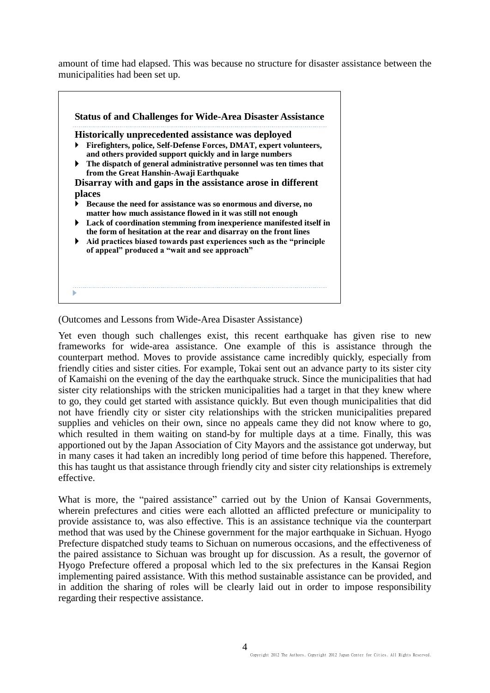amount of time had elapsed. This was because no structure for disaster assistance between the municipalities had been set up.

|   | <b>Historically unprecedented assistance was deployed</b>                                                                                  |
|---|--------------------------------------------------------------------------------------------------------------------------------------------|
|   | Firefighters, police, Self-Defense Forces, DMAT, expert volunteers,<br>and others provided support quickly and in large numbers            |
| ▶ | The dispatch of general administrative personnel was ten times that<br>from the Great Hanshin-Awaji Earthquake                             |
|   | Disarray with and gaps in the assistance arose in different                                                                                |
|   | places                                                                                                                                     |
|   | Because the need for assistance was so enormous and diverse, no<br>matter how much assistance flowed in it was still not enough            |
| ▶ | Lack of coordination stemming from inexperience manifested itself in<br>the form of hesitation at the rear and disarray on the front lines |
| ▶ | Aid practices biased towards past experiences such as the "principle"<br>of appeal" produced a "wait and see approach"                     |
|   |                                                                                                                                            |
|   |                                                                                                                                            |

(Outcomes and Lessons from Wide-Area Disaster Assistance)

Yet even though such challenges exist, this recent earthquake has given rise to new frameworks for wide-area assistance. One example of this is assistance through the counterpart method. Moves to provide assistance came incredibly quickly, especially from friendly cities and sister cities. For example, Tokai sent out an advance party to its sister city of Kamaishi on the evening of the day the earthquake struck. Since the municipalities that had sister city relationships with the stricken municipalities had a target in that they knew where to go, they could get started with assistance quickly. But even though municipalities that did not have friendly city or sister city relationships with the stricken municipalities prepared supplies and vehicles on their own, since no appeals came they did not know where to go, which resulted in them waiting on stand-by for multiple days at a time. Finally, this was apportioned out by the Japan Association of City Mayors and the assistance got underway, but in many cases it had taken an incredibly long period of time before this happened. Therefore, this has taught us that assistance through friendly city and sister city relationships is extremely effective.

What is more, the "paired assistance" carried out by the Union of Kansai Governments, wherein prefectures and cities were each allotted an afflicted prefecture or municipality to provide assistance to, was also effective. This is an assistance technique via the counterpart method that was used by the Chinese government for the major earthquake in Sichuan. Hyogo Prefecture dispatched study teams to Sichuan on numerous occasions, and the effectiveness of the paired assistance to Sichuan was brought up for discussion. As a result, the governor of Hyogo Prefecture offered a proposal which led to the six prefectures in the Kansai Region implementing paired assistance. With this method sustainable assistance can be provided, and in addition the sharing of roles will be clearly laid out in order to impose responsibility regarding their respective assistance.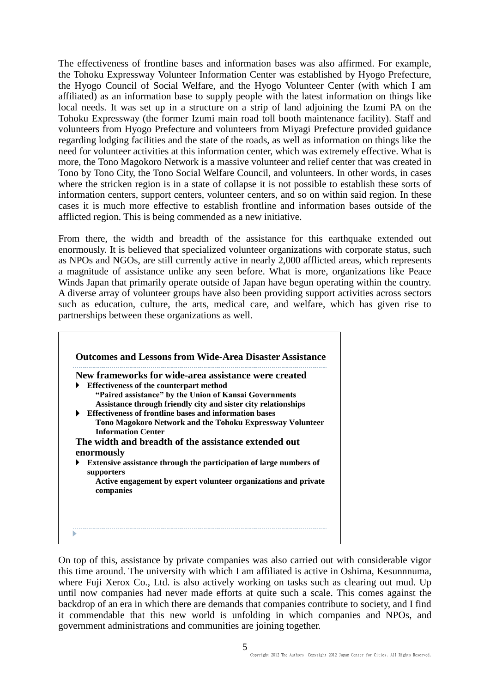The effectiveness of frontline bases and information bases was also affirmed. For example, the Tohoku Expressway Volunteer Information Center was established by Hyogo Prefecture, the Hyogo Council of Social Welfare, and the Hyogo Volunteer Center (with which I am affiliated) as an information base to supply people with the latest information on things like local needs. It was set up in a structure on a strip of land adjoining the Izumi PA on the Tohoku Expressway (the former Izumi main road toll booth maintenance facility). Staff and volunteers from Hyogo Prefecture and volunteers from Miyagi Prefecture provided guidance regarding lodging facilities and the state of the roads, as well as information on things like the need for volunteer activities at this information center, which was extremely effective. What is more, the Tono Magokoro Network is a massive volunteer and relief center that was created in Tono by Tono City, the Tono Social Welfare Council, and volunteers. In other words, in cases where the stricken region is in a state of collapse it is not possible to establish these sorts of information centers, support centers, volunteer centers, and so on within said region. In these cases it is much more effective to establish frontline and information bases outside of the afflicted region. This is being commended as a new initiative.

From there, the width and breadth of the assistance for this earthquake extended out enormously. It is believed that specialized volunteer organizations with corporate status, such as NPOs and NGOs, are still currently active in nearly 2,000 afflicted areas, which represents a magnitude of assistance unlike any seen before. What is more, organizations like Peace Winds Japan that primarily operate outside of Japan have begun operating within the country. A diverse array of volunteer groups have also been providing support activities across sectors such as education, culture, the arts, medical care, and welfare, which has given rise to partnerships between these organizations as well.

|   | New frameworks for wide-area assistance were created                                   |
|---|----------------------------------------------------------------------------------------|
| ▶ | Effectiveness of the counterpart method                                                |
|   | "Paired assistance" by the Union of Kansai Governments                                 |
|   | Assistance through friendly city and sister city relationships                         |
| ▶ | Effectiveness of frontline bases and information bases                                 |
|   | Tono Magokoro Network and the Tohoku Expressway Volunteer<br><b>Information Center</b> |
|   | The width and breadth of the assistance extended out                                   |
|   | enormously                                                                             |
| ▶ | Extensive assistance through the participation of large numbers of<br>supporters       |
|   | Active engagement by expert volunteer organizations and private<br>companies           |
|   |                                                                                        |
|   |                                                                                        |

On top of this, assistance by private companies was also carried out with considerable vigor this time around. The university with which I am affiliated is active in Oshima, Kesunnnuma, where Fuji Xerox Co., Ltd. is also actively working on tasks such as clearing out mud. Up until now companies had never made efforts at quite such a scale. This comes against the backdrop of an era in which there are demands that companies contribute to society, and I find it commendable that this new world is unfolding in which companies and NPOs, and government administrations and communities are joining together.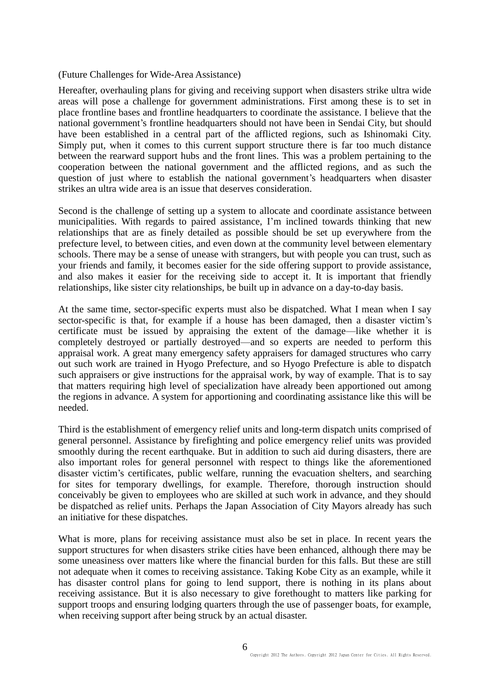## (Future Challenges for Wide-Area Assistance)

Hereafter, overhauling plans for giving and receiving support when disasters strike ultra wide areas will pose a challenge for government administrations. First among these is to set in place frontline bases and frontline headquarters to coordinate the assistance. I believe that the national government's frontline headquarters should not have been in Sendai City, but should have been established in a central part of the afflicted regions, such as Ishinomaki City. Simply put, when it comes to this current support structure there is far too much distance between the rearward support hubs and the front lines. This was a problem pertaining to the cooperation between the national government and the afflicted regions, and as such the question of just where to establish the national government's headquarters when disaster strikes an ultra wide area is an issue that deserves consideration.

Second is the challenge of setting up a system to allocate and coordinate assistance between municipalities. With regards to paired assistance, I'm inclined towards thinking that new relationships that are as finely detailed as possible should be set up everywhere from the prefecture level, to between cities, and even down at the community level between elementary schools. There may be a sense of unease with strangers, but with people you can trust, such as your friends and family, it becomes easier for the side offering support to provide assistance, and also makes it easier for the receiving side to accept it. It is important that friendly relationships, like sister city relationships, be built up in advance on a day-to-day basis.

At the same time, sector-specific experts must also be dispatched. What I mean when I say sector-specific is that, for example if a house has been damaged, then a disaster victim's certificate must be issued by appraising the extent of the damage—like whether it is completely destroyed or partially destroyed—and so experts are needed to perform this appraisal work. A great many emergency safety appraisers for damaged structures who carry out such work are trained in Hyogo Prefecture, and so Hyogo Prefecture is able to dispatch such appraisers or give instructions for the appraisal work, by way of example. That is to say that matters requiring high level of specialization have already been apportioned out among the regions in advance. A system for apportioning and coordinating assistance like this will be needed.

Third is the establishment of emergency relief units and long-term dispatch units comprised of general personnel. Assistance by firefighting and police emergency relief units was provided smoothly during the recent earthquake. But in addition to such aid during disasters, there are also important roles for general personnel with respect to things like the aforementioned disaster victim's certificates, public welfare, running the evacuation shelters, and searching for sites for temporary dwellings, for example. Therefore, thorough instruction should conceivably be given to employees who are skilled at such work in advance, and they should be dispatched as relief units. Perhaps the Japan Association of City Mayors already has such an initiative for these dispatches.

What is more, plans for receiving assistance must also be set in place. In recent years the support structures for when disasters strike cities have been enhanced, although there may be some uneasiness over matters like where the financial burden for this falls. But these are still not adequate when it comes to receiving assistance. Taking Kobe City as an example, while it has disaster control plans for going to lend support, there is nothing in its plans about receiving assistance. But it is also necessary to give forethought to matters like parking for support troops and ensuring lodging quarters through the use of passenger boats, for example, when receiving support after being struck by an actual disaster.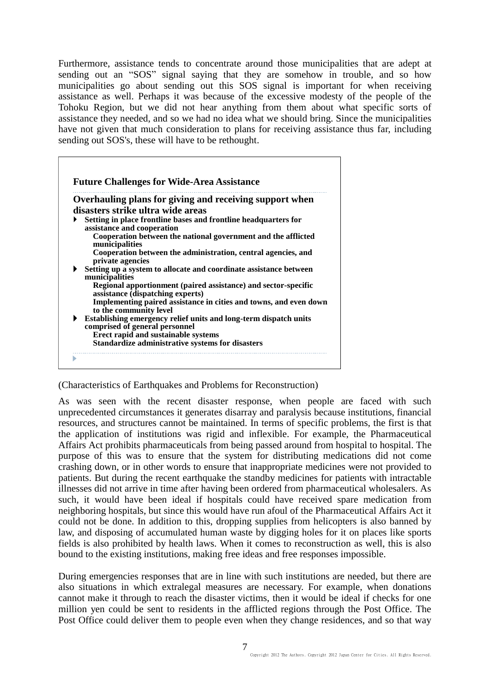Furthermore, assistance tends to concentrate around those municipalities that are adept at sending out an "SOS" signal saying that they are somehow in trouble, and so how municipalities go about sending out this SOS signal is important for when receiving assistance as well. Perhaps it was because of the excessive modesty of the people of the Tohoku Region, but we did not hear anything from them about what specific sorts of assistance they needed, and so we had no idea what we should bring. Since the municipalities have not given that much consideration to plans for receiving assistance thus far, including sending out SOS's, these will have to be rethought.

|   | Overhauling plans for giving and receiving support when                                               |
|---|-------------------------------------------------------------------------------------------------------|
|   | disasters strike ultra wide areas                                                                     |
| ▶ | Setting in place frontline bases and frontline headquarters for<br>assistance and cooperation         |
|   | Cooperation between the national government and the afflicted<br>municipalities                       |
|   | Cooperation between the administration, central agencies, and<br>private agencies                     |
| ▶ | Setting up a system to allocate and coordinate assistance between<br>municipalities                   |
|   | Regional apportionment (paired assistance) and sector-specific<br>assistance (dispatching experts)    |
|   | Implementing paired assistance in cities and towns, and even down<br>to the community level           |
| ▶ | Establishing emergency relief units and long-term dispatch units<br>comprised of general personnel    |
|   | <b>Erect rapid and sustainable systems</b><br><b>Standardize administrative systems for disasters</b> |

(Characteristics of Earthquakes and Problems for Reconstruction)

As was seen with the recent disaster response, when people are faced with such unprecedented circumstances it generates disarray and paralysis because institutions, financial resources, and structures cannot be maintained. In terms of specific problems, the first is that the application of institutions was rigid and inflexible. For example, the Pharmaceutical Affairs Act prohibits pharmaceuticals from being passed around from hospital to hospital. The purpose of this was to ensure that the system for distributing medications did not come crashing down, or in other words to ensure that inappropriate medicines were not provided to patients. But during the recent earthquake the standby medicines for patients with intractable illnesses did not arrive in time after having been ordered from pharmaceutical wholesalers. As such, it would have been ideal if hospitals could have received spare medication from neighboring hospitals, but since this would have run afoul of the Pharmaceutical Affairs Act it could not be done. In addition to this, dropping supplies from helicopters is also banned by law, and disposing of accumulated human waste by digging holes for it on places like sports fields is also prohibited by health laws. When it comes to reconstruction as well, this is also bound to the existing institutions, making free ideas and free responses impossible.

During emergencies responses that are in line with such institutions are needed, but there are also situations in which extralegal measures are necessary. For example, when donations cannot make it through to reach the disaster victims, then it would be ideal if checks for one million yen could be sent to residents in the afflicted regions through the Post Office. The Post Office could deliver them to people even when they change residences, and so that way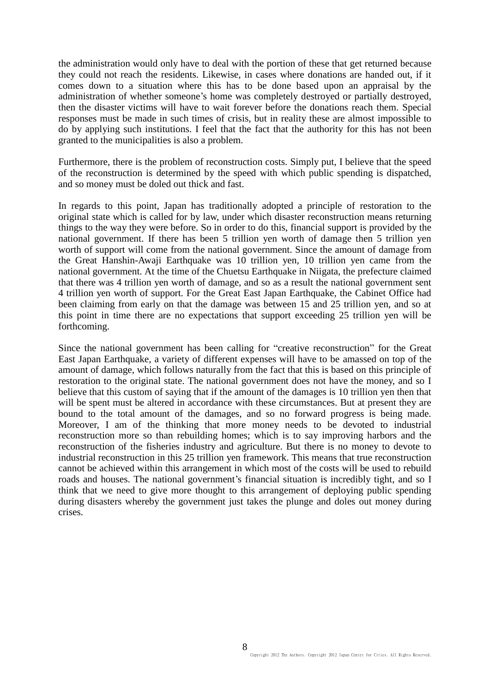the administration would only have to deal with the portion of these that get returned because they could not reach the residents. Likewise, in cases where donations are handed out, if it comes down to a situation where this has to be done based upon an appraisal by the administration of whether someone's home was completely destroyed or partially destroyed, then the disaster victims will have to wait forever before the donations reach them. Special responses must be made in such times of crisis, but in reality these are almost impossible to do by applying such institutions. I feel that the fact that the authority for this has not been granted to the municipalities is also a problem.

Furthermore, there is the problem of reconstruction costs. Simply put, I believe that the speed of the reconstruction is determined by the speed with which public spending is dispatched, and so money must be doled out thick and fast.

In regards to this point, Japan has traditionally adopted a principle of restoration to the original state which is called for by law, under which disaster reconstruction means returning things to the way they were before. So in order to do this, financial support is provided by the national government. If there has been 5 trillion yen worth of damage then 5 trillion yen worth of support will come from the national government. Since the amount of damage from the Great Hanshin-Awaji Earthquake was 10 trillion yen, 10 trillion yen came from the national government. At the time of the Chuetsu Earthquake in Niigata, the prefecture claimed that there was 4 trillion yen worth of damage, and so as a result the national government sent 4 trillion yen worth of support. For the Great East Japan Earthquake, the Cabinet Office had been claiming from early on that the damage was between 15 and 25 trillion yen, and so at this point in time there are no expectations that support exceeding 25 trillion yen will be forthcoming.

Since the national government has been calling for "creative reconstruction" for the Great East Japan Earthquake, a variety of different expenses will have to be amassed on top of the amount of damage, which follows naturally from the fact that this is based on this principle of restoration to the original state. The national government does not have the money, and so I believe that this custom of saying that if the amount of the damages is 10 trillion yen then that will be spent must be altered in accordance with these circumstances. But at present they are bound to the total amount of the damages, and so no forward progress is being made. Moreover, I am of the thinking that more money needs to be devoted to industrial reconstruction more so than rebuilding homes; which is to say improving harbors and the reconstruction of the fisheries industry and agriculture. But there is no money to devote to industrial reconstruction in this 25 trillion yen framework. This means that true reconstruction cannot be achieved within this arrangement in which most of the costs will be used to rebuild roads and houses. The national government's financial situation is incredibly tight, and so I think that we need to give more thought to this arrangement of deploying public spending during disasters whereby the government just takes the plunge and doles out money during crises.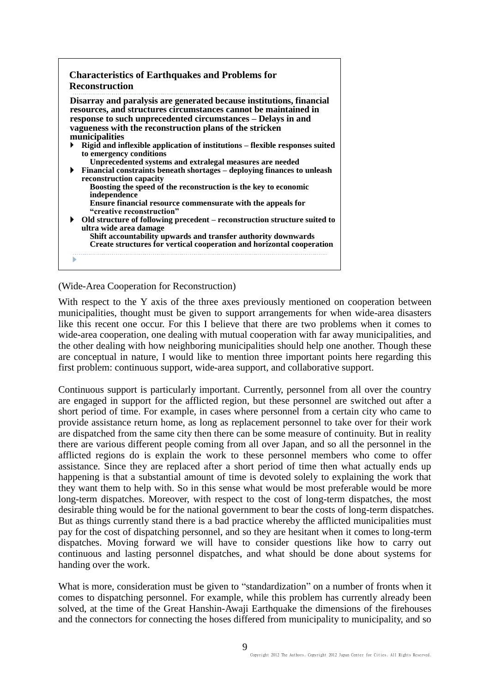| Disarray and paralysis are generated because institutions, financial<br>resources, and structures circumstances cannot be maintained in<br>response to such unprecedented circumstances - Delays in and<br>vagueness with the reconstruction plans of the stricken |
|--------------------------------------------------------------------------------------------------------------------------------------------------------------------------------------------------------------------------------------------------------------------|
| municipalities                                                                                                                                                                                                                                                     |
| Rigid and inflexible application of institutions – flexible responses suited<br>to emergency conditions                                                                                                                                                            |
| Unprecedented systems and extralegal measures are needed                                                                                                                                                                                                           |
| Financial constraints beneath shortages – deploying finances to unleash                                                                                                                                                                                            |
| reconstruction capacity                                                                                                                                                                                                                                            |
| Boosting the speed of the reconstruction is the key to economic<br>independence                                                                                                                                                                                    |
| Ensure financial resource commensurate with the appeals for                                                                                                                                                                                                        |
| "creative reconstruction"                                                                                                                                                                                                                                          |
| $\triangleright$ Old structure of following precedent – reconstruction structure suited to<br>ultra wide area damage                                                                                                                                               |
| Shift accountability upwards and transfer authority downwards                                                                                                                                                                                                      |
| Create structures for vertical cooperation and horizontal cooperation                                                                                                                                                                                              |

## (Wide-Area Cooperation for Reconstruction)

With respect to the Y axis of the three axes previously mentioned on cooperation between municipalities, thought must be given to support arrangements for when wide-area disasters like this recent one occur. For this I believe that there are two problems when it comes to wide-area cooperation, one dealing with mutual cooperation with far away municipalities, and the other dealing with how neighboring municipalities should help one another. Though these are conceptual in nature, I would like to mention three important points here regarding this first problem: continuous support, wide-area support, and collaborative support.

Continuous support is particularly important. Currently, personnel from all over the country are engaged in support for the afflicted region, but these personnel are switched out after a short period of time. For example, in cases where personnel from a certain city who came to provide assistance return home, as long as replacement personnel to take over for their work are dispatched from the same city then there can be some measure of continuity. But in reality there are various different people coming from all over Japan, and so all the personnel in the afflicted regions do is explain the work to these personnel members who come to offer assistance. Since they are replaced after a short period of time then what actually ends up happening is that a substantial amount of time is devoted solely to explaining the work that they want them to help with. So in this sense what would be most preferable would be more long-term dispatches. Moreover, with respect to the cost of long-term dispatches, the most desirable thing would be for the national government to bear the costs of long-term dispatches. But as things currently stand there is a bad practice whereby the afflicted municipalities must pay for the cost of dispatching personnel, and so they are hesitant when it comes to long-term dispatches. Moving forward we will have to consider questions like how to carry out continuous and lasting personnel dispatches, and what should be done about systems for handing over the work.

What is more, consideration must be given to "standardization" on a number of fronts when it comes to dispatching personnel. For example, while this problem has currently already been solved, at the time of the Great Hanshin-Awaji Earthquake the dimensions of the firehouses and the connectors for connecting the hoses differed from municipality to municipality, and so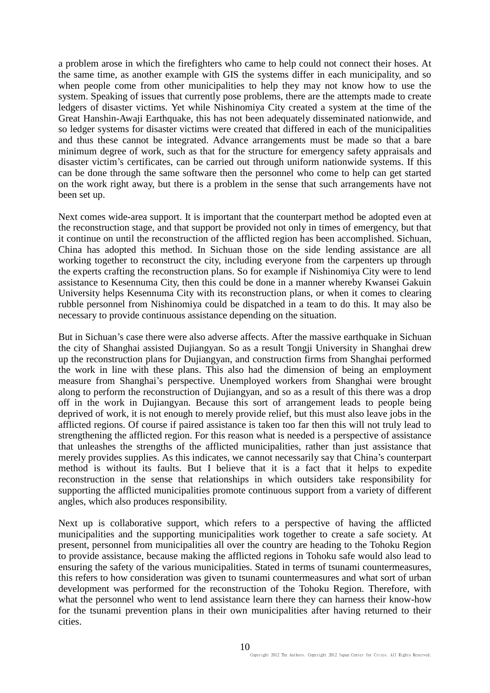a problem arose in which the firefighters who came to help could not connect their hoses. At the same time, as another example with GIS the systems differ in each municipality, and so when people come from other municipalities to help they may not know how to use the system. Speaking of issues that currently pose problems, there are the attempts made to create ledgers of disaster victims. Yet while Nishinomiya City created a system at the time of the Great Hanshin-Awaji Earthquake, this has not been adequately disseminated nationwide, and so ledger systems for disaster victims were created that differed in each of the municipalities and thus these cannot be integrated. Advance arrangements must be made so that a bare minimum degree of work, such as that for the structure for emergency safety appraisals and disaster victim's certificates, can be carried out through uniform nationwide systems. If this can be done through the same software then the personnel who come to help can get started on the work right away, but there is a problem in the sense that such arrangements have not been set up.

Next comes wide-area support. It is important that the counterpart method be adopted even at the reconstruction stage, and that support be provided not only in times of emergency, but that it continue on until the reconstruction of the afflicted region has been accomplished. Sichuan, China has adopted this method. In Sichuan those on the side lending assistance are all working together to reconstruct the city, including everyone from the carpenters up through the experts crafting the reconstruction plans. So for example if Nishinomiya City were to lend assistance to Kesennuma City, then this could be done in a manner whereby Kwansei Gakuin University helps Kesennuma City with its reconstruction plans, or when it comes to clearing rubble personnel from Nishinomiya could be dispatched in a team to do this. It may also be necessary to provide continuous assistance depending on the situation.

But in Sichuan's case there were also adverse affects. After the massive earthquake in Sichuan the city of Shanghai assisted Dujiangyan. So as a result Tongji University in Shanghai drew up the reconstruction plans for Dujiangyan, and construction firms from Shanghai performed the work in line with these plans. This also had the dimension of being an employment measure from Shanghai's perspective. Unemployed workers from Shanghai were brought along to perform the reconstruction of Dujiangyan, and so as a result of this there was a drop off in the work in Dujiangyan. Because this sort of arrangement leads to people being deprived of work, it is not enough to merely provide relief, but this must also leave jobs in the afflicted regions. Of course if paired assistance is taken too far then this will not truly lead to strengthening the afflicted region. For this reason what is needed is a perspective of assistance that unleashes the strengths of the afflicted municipalities, rather than just assistance that merely provides supplies. As this indicates, we cannot necessarily say that China's counterpart method is without its faults. But I believe that it is a fact that it helps to expedite reconstruction in the sense that relationships in which outsiders take responsibility for supporting the afflicted municipalities promote continuous support from a variety of different angles, which also produces responsibility.

Next up is collaborative support, which refers to a perspective of having the afflicted municipalities and the supporting municipalities work together to create a safe society. At present, personnel from municipalities all over the country are heading to the Tohoku Region to provide assistance, because making the afflicted regions in Tohoku safe would also lead to ensuring the safety of the various municipalities. Stated in terms of tsunami countermeasures, this refers to how consideration was given to tsunami countermeasures and what sort of urban development was performed for the reconstruction of the Tohoku Region. Therefore, with what the personnel who went to lend assistance learn there they can harness their know-how for the tsunami prevention plans in their own municipalities after having returned to their cities.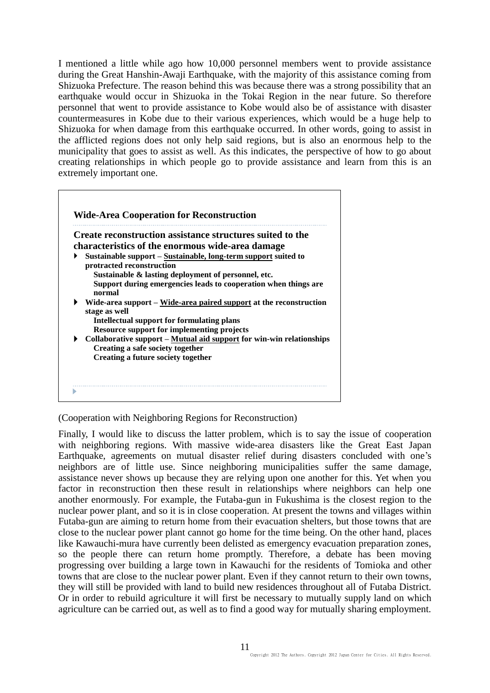I mentioned a little while ago how 10,000 personnel members went to provide assistance during the Great Hanshin-Awaji Earthquake, with the majority of this assistance coming from Shizuoka Prefecture. The reason behind this was because there was a strong possibility that an earthquake would occur in Shizuoka in the Tokai Region in the near future. So therefore personnel that went to provide assistance to Kobe would also be of assistance with disaster countermeasures in Kobe due to their various experiences, which would be a huge help to Shizuoka for when damage from this earthquake occurred. In other words, going to assist in the afflicted regions does not only help said regions, but is also an enormous help to the municipality that goes to assist as well. As this indicates, the perspective of how to go about creating relationships in which people go to provide assistance and learn from this is an extremely important one.

|   | Create reconstruction assistance structures suited to the                           |
|---|-------------------------------------------------------------------------------------|
|   | characteristics of the enormous wide-area damage                                    |
| ▶ | Sustainable support – Sustainable, long-term support suited to                      |
|   | protracted reconstruction                                                           |
|   | Sustainable & lasting deployment of personnel, etc.                                 |
|   | Support during emergencies leads to cooperation when things are<br>normal           |
|   | Wide-area support – Wide-area paired support at the reconstruction<br>stage as well |
|   | Intellectual support for formulating plans                                          |
|   | <b>Resource support for implementing projects</b>                                   |
| ▶ | Collaborative support - Mutual aid support for win-win relationships                |
|   | Creating a safe society together                                                    |
|   | Creating a future society together                                                  |

(Cooperation with Neighboring Regions for Reconstruction)

Finally, I would like to discuss the latter problem, which is to say the issue of cooperation with neighboring regions. With massive wide-area disasters like the Great East Japan Earthquake, agreements on mutual disaster relief during disasters concluded with one's neighbors are of little use. Since neighboring municipalities suffer the same damage, assistance never shows up because they are relying upon one another for this. Yet when you factor in reconstruction then these result in relationships where neighbors can help one another enormously. For example, the Futaba-gun in Fukushima is the closest region to the nuclear power plant, and so it is in close cooperation. At present the towns and villages within Futaba-gun are aiming to return home from their evacuation shelters, but those towns that are close to the nuclear power plant cannot go home for the time being. On the other hand, places like Kawauchi-mura have currently been delisted as emergency evacuation preparation zones, so the people there can return home promptly. Therefore, a debate has been moving progressing over building a large town in Kawauchi for the residents of Tomioka and other towns that are close to the nuclear power plant. Even if they cannot return to their own towns, they will still be provided with land to build new residences throughout all of Futaba District. Or in order to rebuild agriculture it will first be necessary to mutually supply land on which agriculture can be carried out, as well as to find a good way for mutually sharing employment.